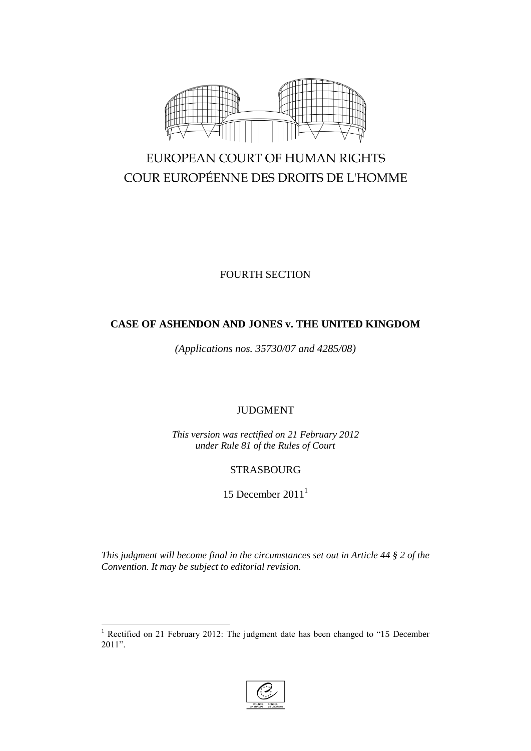

# EUROPEAN COURT OF HUMAN RIGHTS COUR EUROPÉENNE DES DROITS DE L'HOMME

FOURTH SECTION

# **CASE OF ASHENDON AND JONES v. THE UNITED KINGDOM**

*(Applications nos. 35730/07 and 4285/08)*

# JUDGMENT

*This version was rectified on 21 February 2012 under Rule 81 of the Rules of Court*

# STRASBOURG

15 December  $2011<sup>1</sup>$ 

*This judgment will become final in the circumstances set out in Article 44 § 2 of the Convention. It may be subject to editorial revision.*

 $\overline{a}$ 



<sup>&</sup>lt;sup>1</sup> Rectified on 21 February 2012: The judgment date has been changed to "15 December 2011".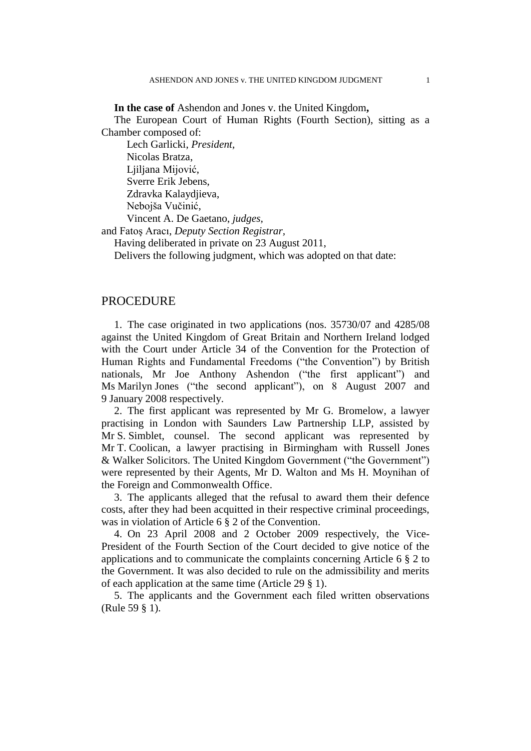**In the case of** Ashendon and Jones v. the United Kingdom**,**

The European Court of Human Rights (Fourth Section), sitting as a Chamber composed of:

Lech Garlicki, *President,* Nicolas Bratza, Ljiljana Mijović, Sverre Erik Jebens, Zdravka Kalaydjieva, Nebojša Vučinić, Vincent A. De Gaetano, *judges,*

and Fatoş Aracı, *Deputy Section Registrar,*

Having deliberated in private on 23 August 2011,

Delivers the following judgment, which was adopted on that date:

# PROCEDURE

1. The case originated in two applications (nos. 35730/07 and 4285/08 against the United Kingdom of Great Britain and Northern Ireland lodged with the Court under Article 34 of the Convention for the Protection of Human Rights and Fundamental Freedoms ("the Convention") by British nationals, Mr Joe Anthony Ashendon ("the first applicant") and Ms Marilyn Jones ("the second applicant"), on 8 August 2007 and 9 January 2008 respectively.

2. The first applicant was represented by Mr G. Bromelow, a lawyer practising in London with Saunders Law Partnership LLP, assisted by Mr S. Simblet, counsel. The second applicant was represented by Mr T. Coolican, a lawyer practising in Birmingham with Russell Jones & Walker Solicitors. The United Kingdom Government ("the Government") were represented by their Agents, Mr D. Walton and Ms H. Moynihan of the Foreign and Commonwealth Office.

3. The applicants alleged that the refusal to award them their defence costs, after they had been acquitted in their respective criminal proceedings, was in violation of Article 6 § 2 of the Convention.

4. On 23 April 2008 and 2 October 2009 respectively, the Vice-President of the Fourth Section of the Court decided to give notice of the applications and to communicate the complaints concerning Article 6 § 2 to the Government. It was also decided to rule on the admissibility and merits of each application at the same time (Article 29 § 1).

5. The applicants and the Government each filed written observations (Rule 59 § 1).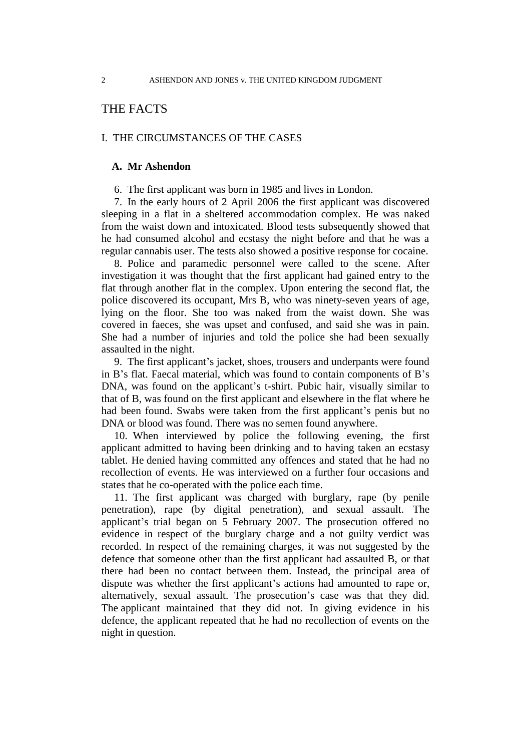# THE FACTS

# I. THE CIRCUMSTANCES OF THE CASES

### **A. Mr Ashendon**

6. The first applicant was born in 1985 and lives in London.

7. In the early hours of 2 April 2006 the first applicant was discovered sleeping in a flat in a sheltered accommodation complex. He was naked from the waist down and intoxicated. Blood tests subsequently showed that he had consumed alcohol and ecstasy the night before and that he was a regular cannabis user. The tests also showed a positive response for cocaine.

8. Police and paramedic personnel were called to the scene. After investigation it was thought that the first applicant had gained entry to the flat through another flat in the complex. Upon entering the second flat, the police discovered its occupant, Mrs B, who was ninety-seven years of age, lying on the floor. She too was naked from the waist down. She was covered in faeces, she was upset and confused, and said she was in pain. She had a number of injuries and told the police she had been sexually assaulted in the night.

9. The first applicant's jacket, shoes, trousers and underpants were found in B's flat. Faecal material, which was found to contain components of B's DNA, was found on the applicant's t-shirt. Pubic hair, visually similar to that of B, was found on the first applicant and elsewhere in the flat where he had been found. Swabs were taken from the first applicant's penis but no DNA or blood was found. There was no semen found anywhere.

10. When interviewed by police the following evening, the first applicant admitted to having been drinking and to having taken an ecstasy tablet. He denied having committed any offences and stated that he had no recollection of events. He was interviewed on a further four occasions and states that he co-operated with the police each time.

11. The first applicant was charged with burglary, rape (by penile penetration), rape (by digital penetration), and sexual assault. The applicant's trial began on 5 February 2007. The prosecution offered no evidence in respect of the burglary charge and a not guilty verdict was recorded. In respect of the remaining charges, it was not suggested by the defence that someone other than the first applicant had assaulted B, or that there had been no contact between them. Instead, the principal area of dispute was whether the first applicant's actions had amounted to rape or, alternatively, sexual assault. The prosecution's case was that they did. The applicant maintained that they did not. In giving evidence in his defence, the applicant repeated that he had no recollection of events on the night in question.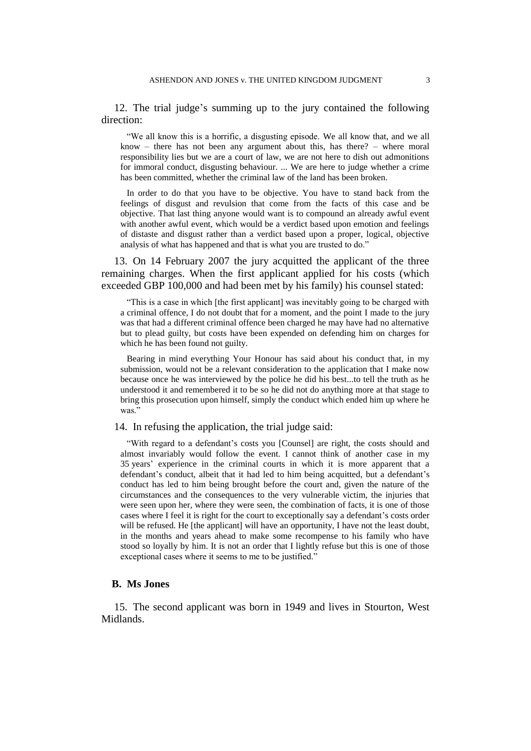12. The trial judge's summing up to the jury contained the following direction:

"We all know this is a horrific, a disgusting episode. We all know that, and we all know – there has not been any argument about this, has there? – where moral responsibility lies but we are a court of law, we are not here to dish out admonitions for immoral conduct, disgusting behaviour. ... We are here to judge whether a crime has been committed, whether the criminal law of the land has been broken.

In order to do that you have to be objective. You have to stand back from the feelings of disgust and revulsion that come from the facts of this case and be objective. That last thing anyone would want is to compound an already awful event with another awful event, which would be a verdict based upon emotion and feelings of distaste and disgust rather than a verdict based upon a proper, logical, objective analysis of what has happened and that is what you are trusted to do."

13. On 14 February 2007 the jury acquitted the applicant of the three remaining charges. When the first applicant applied for his costs (which exceeded GBP 100,000 and had been met by his family) his counsel stated:

"This is a case in which [the first applicant] was inevitably going to be charged with a criminal offence, I do not doubt that for a moment, and the point I made to the jury was that had a different criminal offence been charged he may have had no alternative but to plead guilty, but costs have been expended on defending him on charges for which he has been found not guilty.

Bearing in mind everything Your Honour has said about his conduct that, in my submission, would not be a relevant consideration to the application that I make now because once he was interviewed by the police he did his best...to tell the truth as he understood it and remembered it to be so he did not do anything more at that stage to bring this prosecution upon himself, simply the conduct which ended him up where he was.'

14. In refusing the application, the trial judge said:

"With regard to a defendant's costs you [Counsel] are right, the costs should and almost invariably would follow the event. I cannot think of another case in my 35 years' experience in the criminal courts in which it is more apparent that a defendant's conduct, albeit that it had led to him being acquitted, but a defendant's conduct has led to him being brought before the court and, given the nature of the circumstances and the consequences to the very vulnerable victim, the injuries that were seen upon her, where they were seen, the combination of facts, it is one of those cases where I feel it is right for the court to exceptionally say a defendant's costs order will be refused. He [the applicant] will have an opportunity. I have not the least doubt, in the months and years ahead to make some recompense to his family who have stood so loyally by him. It is not an order that I lightly refuse but this is one of those exceptional cases where it seems to me to be justified."

#### **B. Ms Jones**

15. The second applicant was born in 1949 and lives in Stourton, West Midlands.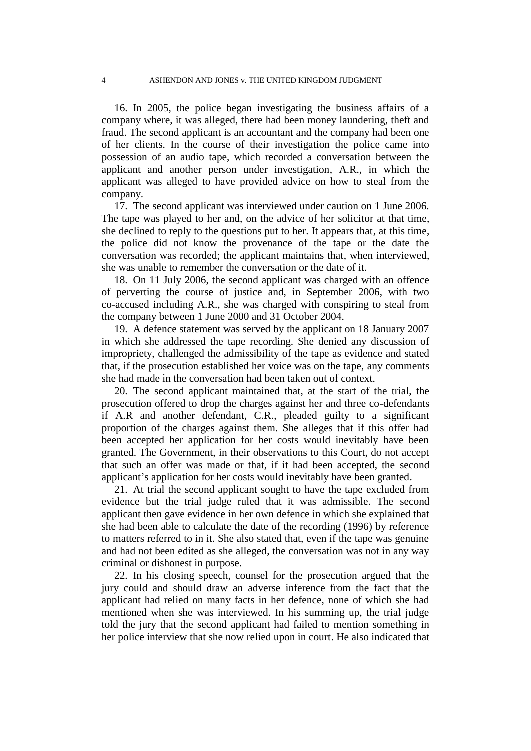16. In 2005, the police began investigating the business affairs of a company where, it was alleged, there had been money laundering, theft and fraud. The second applicant is an accountant and the company had been one of her clients. In the course of their investigation the police came into possession of an audio tape, which recorded a conversation between the applicant and another person under investigation, A.R., in which the applicant was alleged to have provided advice on how to steal from the company.

17. The second applicant was interviewed under caution on 1 June 2006. The tape was played to her and, on the advice of her solicitor at that time, she declined to reply to the questions put to her. It appears that, at this time, the police did not know the provenance of the tape or the date the conversation was recorded; the applicant maintains that, when interviewed, she was unable to remember the conversation or the date of it.

18. On 11 July 2006, the second applicant was charged with an offence of perverting the course of justice and, in September 2006, with two co-accused including A.R., she was charged with conspiring to steal from the company between 1 June 2000 and 31 October 2004.

19. A defence statement was served by the applicant on 18 January 2007 in which she addressed the tape recording. She denied any discussion of impropriety, challenged the admissibility of the tape as evidence and stated that, if the prosecution established her voice was on the tape, any comments she had made in the conversation had been taken out of context.

20. The second applicant maintained that, at the start of the trial, the prosecution offered to drop the charges against her and three co-defendants if A.R and another defendant, C.R., pleaded guilty to a significant proportion of the charges against them. She alleges that if this offer had been accepted her application for her costs would inevitably have been granted. The Government, in their observations to this Court, do not accept that such an offer was made or that, if it had been accepted, the second applicant's application for her costs would inevitably have been granted.

21. At trial the second applicant sought to have the tape excluded from evidence but the trial judge ruled that it was admissible. The second applicant then gave evidence in her own defence in which she explained that she had been able to calculate the date of the recording (1996) by reference to matters referred to in it. She also stated that, even if the tape was genuine and had not been edited as she alleged, the conversation was not in any way criminal or dishonest in purpose.

22. In his closing speech, counsel for the prosecution argued that the jury could and should draw an adverse inference from the fact that the applicant had relied on many facts in her defence, none of which she had mentioned when she was interviewed. In his summing up, the trial judge told the jury that the second applicant had failed to mention something in her police interview that she now relied upon in court. He also indicated that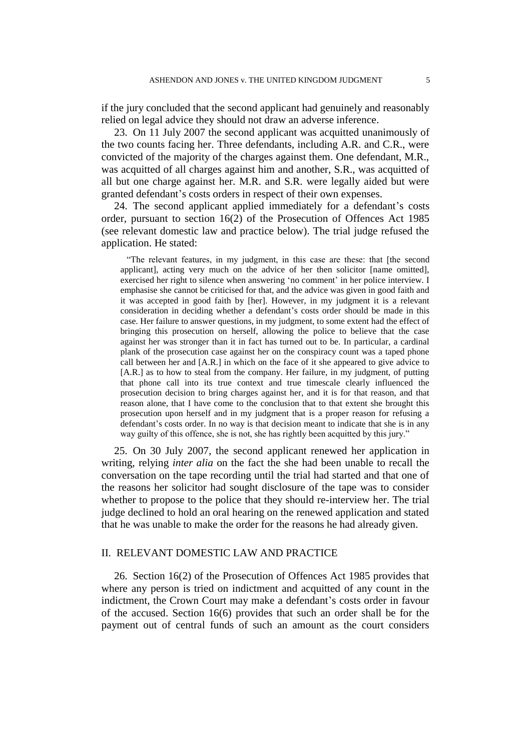if the jury concluded that the second applicant had genuinely and reasonably relied on legal advice they should not draw an adverse inference.

23. On 11 July 2007 the second applicant was acquitted unanimously of the two counts facing her. Three defendants, including A.R. and C.R., were convicted of the majority of the charges against them. One defendant, M.R., was acquitted of all charges against him and another, S.R., was acquitted of all but one charge against her. M.R. and S.R. were legally aided but were granted defendant's costs orders in respect of their own expenses.

24. The second applicant applied immediately for a defendant's costs order, pursuant to section 16(2) of the Prosecution of Offences Act 1985 (see relevant domestic law and practice below). The trial judge refused the application. He stated:

"The relevant features, in my judgment, in this case are these: that [the second applicant], acting very much on the advice of her then solicitor [name omitted], exercised her right to silence when answering 'no comment' in her police interview. I emphasise she cannot be criticised for that, and the advice was given in good faith and it was accepted in good faith by [her]. However, in my judgment it is a relevant consideration in deciding whether a defendant's costs order should be made in this case. Her failure to answer questions, in my judgment, to some extent had the effect of bringing this prosecution on herself, allowing the police to believe that the case against her was stronger than it in fact has turned out to be. In particular, a cardinal plank of the prosecution case against her on the conspiracy count was a taped phone call between her and [A.R.] in which on the face of it she appeared to give advice to [A.R.] as to how to steal from the company. Her failure, in my judgment, of putting that phone call into its true context and true timescale clearly influenced the prosecution decision to bring charges against her, and it is for that reason, and that reason alone, that I have come to the conclusion that to that extent she brought this prosecution upon herself and in my judgment that is a proper reason for refusing a defendant's costs order. In no way is that decision meant to indicate that she is in any way guilty of this offence, she is not, she has rightly been acquitted by this jury."

25. On 30 July 2007, the second applicant renewed her application in writing, relying *inter alia* on the fact the she had been unable to recall the conversation on the tape recording until the trial had started and that one of the reasons her solicitor had sought disclosure of the tape was to consider whether to propose to the police that they should re-interview her. The trial judge declined to hold an oral hearing on the renewed application and stated that he was unable to make the order for the reasons he had already given.

# II. RELEVANT DOMESTIC LAW AND PRACTICE

26. Section 16(2) of the Prosecution of Offences Act 1985 provides that where any person is tried on indictment and acquitted of any count in the indictment, the Crown Court may make a defendant's costs order in favour of the accused. Section 16(6) provides that such an order shall be for the payment out of central funds of such an amount as the court considers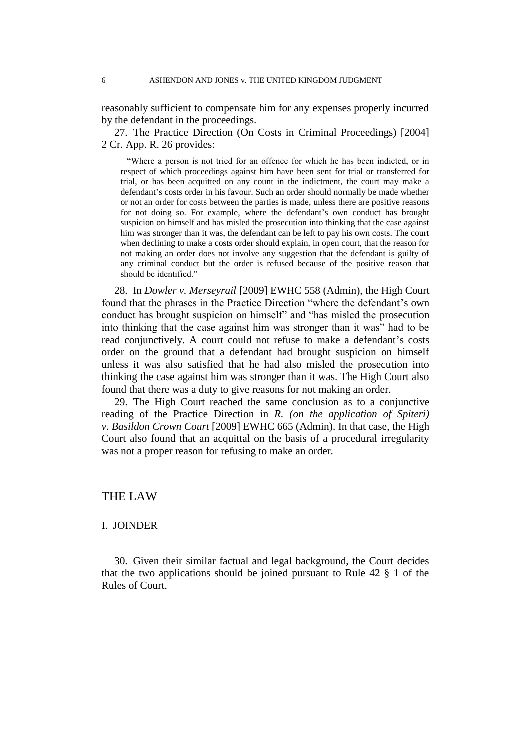reasonably sufficient to compensate him for any expenses properly incurred by the defendant in the proceedings.

27. The Practice Direction (On Costs in Criminal Proceedings) [2004] 2 Cr. App. R. 26 provides:

"Where a person is not tried for an offence for which he has been indicted, or in respect of which proceedings against him have been sent for trial or transferred for trial, or has been acquitted on any count in the indictment, the court may make a defendant's costs order in his favour. Such an order should normally be made whether or not an order for costs between the parties is made, unless there are positive reasons for not doing so. For example, where the defendant's own conduct has brought suspicion on himself and has misled the prosecution into thinking that the case against him was stronger than it was, the defendant can be left to pay his own costs. The court when declining to make a costs order should explain, in open court, that the reason for not making an order does not involve any suggestion that the defendant is guilty of any criminal conduct but the order is refused because of the positive reason that should be identified."

28. In *Dowler v. Merseyrail* [2009] EWHC 558 (Admin), the High Court found that the phrases in the Practice Direction "where the defendant's own conduct has brought suspicion on himself" and "has misled the prosecution into thinking that the case against him was stronger than it was" had to be read conjunctively. A court could not refuse to make a defendant's costs order on the ground that a defendant had brought suspicion on himself unless it was also satisfied that he had also misled the prosecution into thinking the case against him was stronger than it was. The High Court also found that there was a duty to give reasons for not making an order.

29. The High Court reached the same conclusion as to a conjunctive reading of the Practice Direction in *R. (on the application of Spiteri) v. Basildon Crown Court* [2009] EWHC 665 (Admin). In that case, the High Court also found that an acquittal on the basis of a procedural irregularity was not a proper reason for refusing to make an order.

# THE LAW

# I. JOINDER

30. Given their similar factual and legal background, the Court decides that the two applications should be joined pursuant to Rule 42 § 1 of the Rules of Court.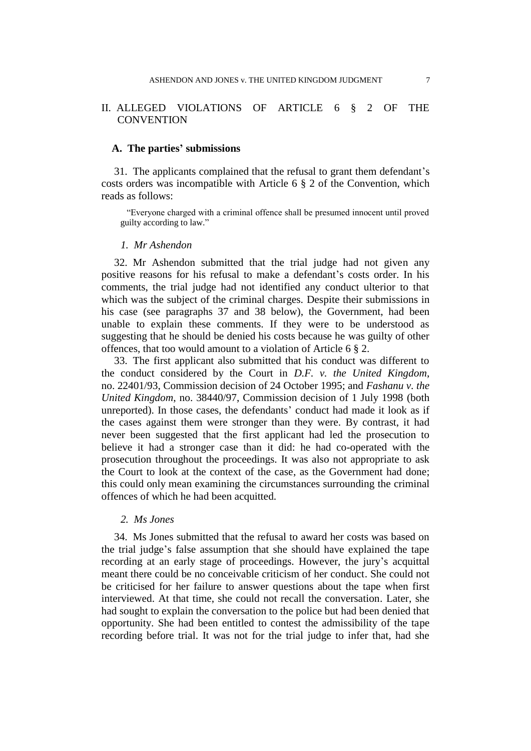# II. ALLEGED VIOLATIONS OF ARTICLE 6 § 2 OF THE **CONVENTION**

#### **A. The parties' submissions**

31. The applicants complained that the refusal to grant them defendant's costs orders was incompatible with Article 6 § 2 of the Convention, which reads as follows:

"Everyone charged with a criminal offence shall be presumed innocent until proved guilty according to law."

#### *1. Mr Ashendon*

32. Mr Ashendon submitted that the trial judge had not given any positive reasons for his refusal to make a defendant's costs order. In his comments, the trial judge had not identified any conduct ulterior to that which was the subject of the criminal charges. Despite their submissions in his case (see paragraphs 37 and 38 below), the Government, had been unable to explain these comments. If they were to be understood as suggesting that he should be denied his costs because he was guilty of other offences, that too would amount to a violation of Article 6 § 2.

33. The first applicant also submitted that his conduct was different to the conduct considered by the Court in *D.F. v. the United Kingdom*, no. 22401/93, Commission decision of 24 October 1995; and *Fashanu v. the United Kingdom*, no. 38440/97, Commission decision of 1 July 1998 (both unreported). In those cases, the defendants' conduct had made it look as if the cases against them were stronger than they were. By contrast, it had never been suggested that the first applicant had led the prosecution to believe it had a stronger case than it did: he had co-operated with the prosecution throughout the proceedings. It was also not appropriate to ask the Court to look at the context of the case, as the Government had done; this could only mean examining the circumstances surrounding the criminal offences of which he had been acquitted.

#### *2. Ms Jones*

34. Ms Jones submitted that the refusal to award her costs was based on the trial judge's false assumption that she should have explained the tape recording at an early stage of proceedings. However, the jury's acquittal meant there could be no conceivable criticism of her conduct. She could not be criticised for her failure to answer questions about the tape when first interviewed. At that time, she could not recall the conversation. Later, she had sought to explain the conversation to the police but had been denied that opportunity. She had been entitled to contest the admissibility of the tape recording before trial. It was not for the trial judge to infer that, had she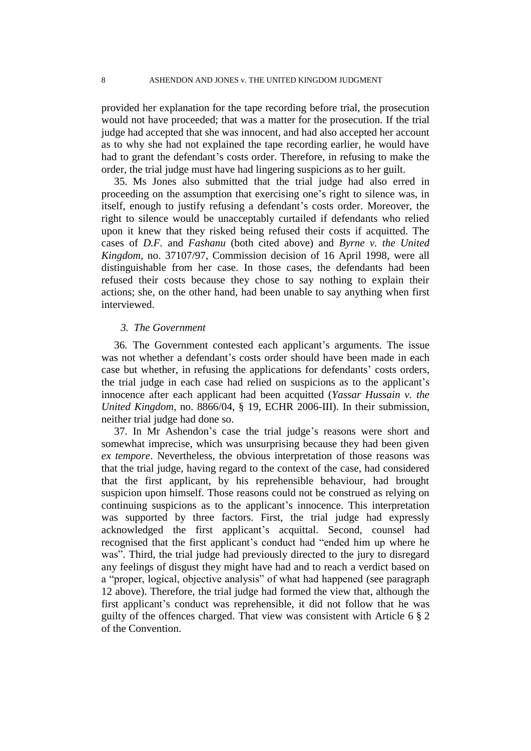provided her explanation for the tape recording before trial, the prosecution would not have proceeded; that was a matter for the prosecution. If the trial judge had accepted that she was innocent, and had also accepted her account as to why she had not explained the tape recording earlier, he would have had to grant the defendant's costs order. Therefore, in refusing to make the order, the trial judge must have had lingering suspicions as to her guilt.

35. Ms Jones also submitted that the trial judge had also erred in proceeding on the assumption that exercising one's right to silence was, in itself, enough to justify refusing a defendant's costs order. Moreover, the right to silence would be unacceptably curtailed if defendants who relied upon it knew that they risked being refused their costs if acquitted. The cases of *D.F.* and *Fashanu* (both cited above) and *Byrne v. the United Kingdom*, no. 37107/97, Commission decision of 16 April 1998, were all distinguishable from her case. In those cases, the defendants had been refused their costs because they chose to say nothing to explain their actions; she, on the other hand, had been unable to say anything when first interviewed.

#### *3. The Government*

36. The Government contested each applicant's arguments. The issue was not whether a defendant's costs order should have been made in each case but whether, in refusing the applications for defendants' costs orders, the trial judge in each case had relied on suspicions as to the applicant's innocence after each applicant had been acquitted (*Yassar Hussain v. the United Kingdom*, no. 8866/04, § 19, ECHR 2006-III). In their submission, neither trial judge had done so.

37. In Mr Ashendon's case the trial judge's reasons were short and somewhat imprecise, which was unsurprising because they had been given *ex tempore*. Nevertheless, the obvious interpretation of those reasons was that the trial judge, having regard to the context of the case, had considered that the first applicant, by his reprehensible behaviour, had brought suspicion upon himself. Those reasons could not be construed as relying on continuing suspicions as to the applicant's innocence. This interpretation was supported by three factors. First, the trial judge had expressly acknowledged the first applicant's acquittal. Second, counsel had recognised that the first applicant's conduct had "ended him up where he was". Third, the trial judge had previously directed to the jury to disregard any feelings of disgust they might have had and to reach a verdict based on a "proper, logical, objective analysis" of what had happened (see paragraph 12 above). Therefore, the trial judge had formed the view that, although the first applicant's conduct was reprehensible, it did not follow that he was guilty of the offences charged. That view was consistent with Article 6 § 2 of the Convention.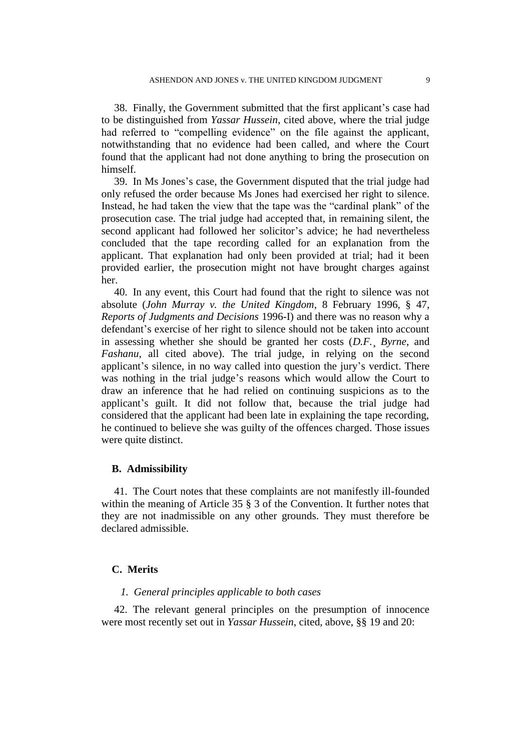38. Finally, the Government submitted that the first applicant's case had to be distinguished from *Yassar Hussein*, cited above, where the trial judge had referred to "compelling evidence" on the file against the applicant, notwithstanding that no evidence had been called, and where the Court found that the applicant had not done anything to bring the prosecution on himself.

39. In Ms Jones's case, the Government disputed that the trial judge had only refused the order because Ms Jones had exercised her right to silence. Instead, he had taken the view that the tape was the "cardinal plank" of the prosecution case. The trial judge had accepted that, in remaining silent, the second applicant had followed her solicitor's advice; he had nevertheless concluded that the tape recording called for an explanation from the applicant. That explanation had only been provided at trial; had it been provided earlier, the prosecution might not have brought charges against her.

40. In any event, this Court had found that the right to silence was not absolute (*John Murray v. the United Kingdom*, 8 February 1996, § 47, *Reports of Judgments and Decisions* 1996-I) and there was no reason why a defendant's exercise of her right to silence should not be taken into account in assessing whether she should be granted her costs (*D.F.*¸ *Byrne*, and *Fashanu*, all cited above). The trial judge, in relying on the second applicant's silence, in no way called into question the jury's verdict. There was nothing in the trial judge's reasons which would allow the Court to draw an inference that he had relied on continuing suspicions as to the applicant's guilt. It did not follow that, because the trial judge had considered that the applicant had been late in explaining the tape recording, he continued to believe she was guilty of the offences charged. Those issues were quite distinct.

## **B. Admissibility**

41. The Court notes that these complaints are not manifestly ill-founded within the meaning of Article 35  $\S$  3 of the Convention. It further notes that they are not inadmissible on any other grounds. They must therefore be declared admissible.

# **C. Merits**

# *1. General principles applicable to both cases*

42. The relevant general principles on the presumption of innocence were most recently set out in *Yassar Hussein*, cited, above, §§ 19 and 20: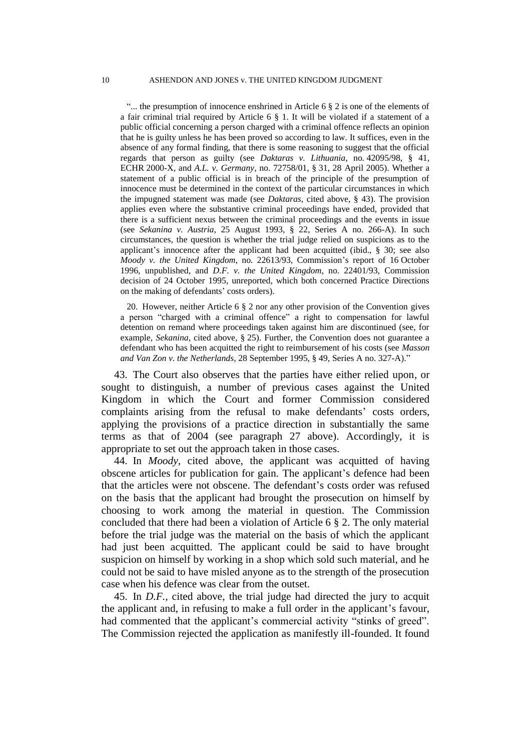"... the presumption of innocence enshrined in Article 6  $\S$  2 is one of the elements of a fair criminal trial required by Article 6 § 1. It will be violated if a statement of a public official concerning a person charged with a criminal offence reflects an opinion that he is guilty unless he has been proved so according to law. It suffices, even in the absence of any formal finding, that there is some reasoning to suggest that the official regards that person as guilty (see *Daktaras v. Lithuania*, no. 42095/98, § 41, ECHR 2000-X, and *A.L. v. Germany*, no. 72758/01, § 31, 28 April 2005). Whether a statement of a public official is in breach of the principle of the presumption of innocence must be determined in the context of the particular circumstances in which the impugned statement was made (see *Daktaras*, cited above, § 43). The provision applies even where the substantive criminal proceedings have ended, provided that there is a sufficient nexus between the criminal proceedings and the events in issue (see *Sekanina v. Austria*, 25 August 1993, § 22, Series A no. 266-A). In such circumstances, the question is whether the trial judge relied on suspicions as to the applicant's innocence after the applicant had been acquitted (ibid., § 30; see also *Moody v. the United Kingdom*, no. 22613/93, Commission's report of 16 October 1996, unpublished, and *D.F. v. the United Kingdom*, no. 22401/93, Commission decision of 24 October 1995, unreported, which both concerned Practice Directions on the making of defendants' costs orders).

20. However, neither Article 6 § 2 nor any other provision of the Convention gives a person "charged with a criminal offence" a right to compensation for lawful detention on remand where proceedings taken against him are discontinued (see, for example, *Sekanina*, cited above, § 25). Further, the Convention does not guarantee a defendant who has been acquitted the right to reimbursement of his costs (see *Masson and Van Zon v. the Netherlands*, 28 September 1995, § 49, Series A no. 327-A)."

43. The Court also observes that the parties have either relied upon, or sought to distinguish, a number of previous cases against the United Kingdom in which the Court and former Commission considered complaints arising from the refusal to make defendants' costs orders, applying the provisions of a practice direction in substantially the same terms as that of 2004 (see paragraph 27 above). Accordingly, it is appropriate to set out the approach taken in those cases.

44. In *Moody*, cited above, the applicant was acquitted of having obscene articles for publication for gain. The applicant's defence had been that the articles were not obscene. The defendant's costs order was refused on the basis that the applicant had brought the prosecution on himself by choosing to work among the material in question. The Commission concluded that there had been a violation of Article 6 § 2. The only material before the trial judge was the material on the basis of which the applicant had just been acquitted. The applicant could be said to have brought suspicion on himself by working in a shop which sold such material, and he could not be said to have misled anyone as to the strength of the prosecution case when his defence was clear from the outset.

45. In *D.F.*, cited above, the trial judge had directed the jury to acquit the applicant and, in refusing to make a full order in the applicant's favour, had commented that the applicant's commercial activity "stinks of greed". The Commission rejected the application as manifestly ill-founded. It found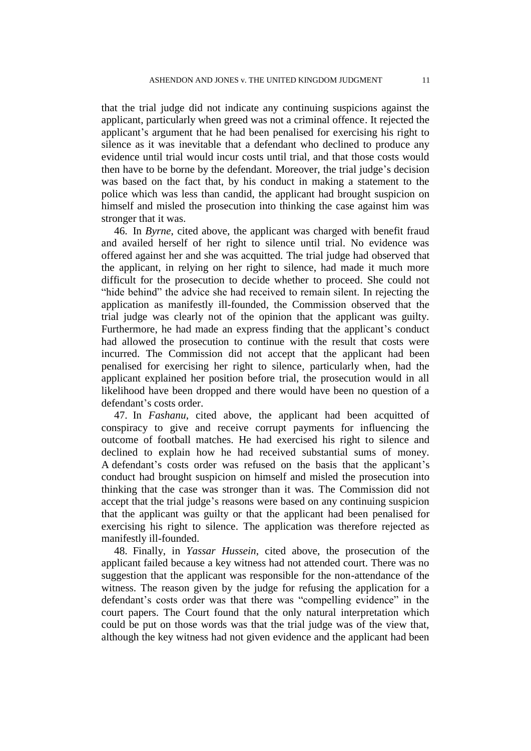that the trial judge did not indicate any continuing suspicions against the applicant, particularly when greed was not a criminal offence. It rejected the applicant's argument that he had been penalised for exercising his right to silence as it was inevitable that a defendant who declined to produce any evidence until trial would incur costs until trial, and that those costs would then have to be borne by the defendant. Moreover, the trial judge's decision was based on the fact that, by his conduct in making a statement to the police which was less than candid, the applicant had brought suspicion on himself and misled the prosecution into thinking the case against him was stronger that it was.

46. In *Byrne*, cited above, the applicant was charged with benefit fraud and availed herself of her right to silence until trial. No evidence was offered against her and she was acquitted. The trial judge had observed that the applicant, in relying on her right to silence, had made it much more difficult for the prosecution to decide whether to proceed. She could not "hide behind" the advice she had received to remain silent. In rejecting the application as manifestly ill-founded, the Commission observed that the trial judge was clearly not of the opinion that the applicant was guilty. Furthermore, he had made an express finding that the applicant's conduct had allowed the prosecution to continue with the result that costs were incurred. The Commission did not accept that the applicant had been penalised for exercising her right to silence, particularly when, had the applicant explained her position before trial, the prosecution would in all likelihood have been dropped and there would have been no question of a defendant's costs order.

47. In *Fashanu*, cited above, the applicant had been acquitted of conspiracy to give and receive corrupt payments for influencing the outcome of football matches. He had exercised his right to silence and declined to explain how he had received substantial sums of money. A defendant's costs order was refused on the basis that the applicant's conduct had brought suspicion on himself and misled the prosecution into thinking that the case was stronger than it was. The Commission did not accept that the trial judge's reasons were based on any continuing suspicion that the applicant was guilty or that the applicant had been penalised for exercising his right to silence. The application was therefore rejected as manifestly ill-founded.

48. Finally, in *Yassar Hussein*, cited above, the prosecution of the applicant failed because a key witness had not attended court. There was no suggestion that the applicant was responsible for the non-attendance of the witness. The reason given by the judge for refusing the application for a defendant's costs order was that there was "compelling evidence" in the court papers. The Court found that the only natural interpretation which could be put on those words was that the trial judge was of the view that, although the key witness had not given evidence and the applicant had been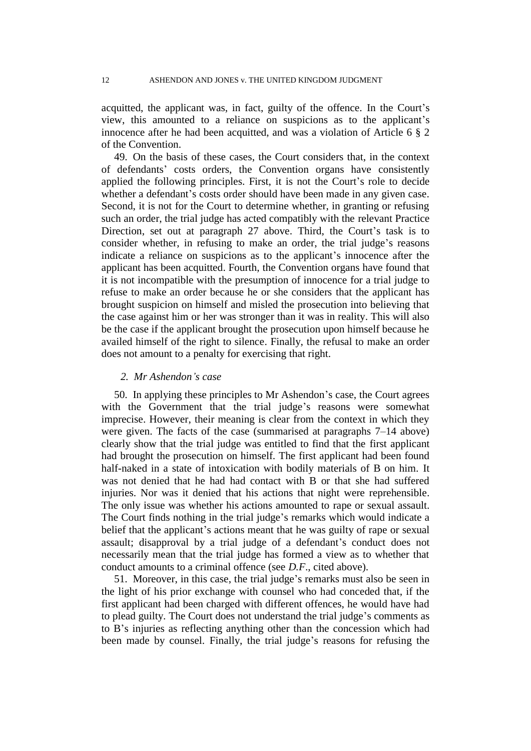acquitted, the applicant was, in fact, guilty of the offence. In the Court's view, this amounted to a reliance on suspicions as to the applicant's innocence after he had been acquitted, and was a violation of Article 6 § 2 of the Convention.

49. On the basis of these cases, the Court considers that, in the context of defendants' costs orders, the Convention organs have consistently applied the following principles. First, it is not the Court's role to decide whether a defendant's costs order should have been made in any given case. Second, it is not for the Court to determine whether, in granting or refusing such an order, the trial judge has acted compatibly with the relevant Practice Direction, set out at paragraph 27 above. Third, the Court's task is to consider whether, in refusing to make an order, the trial judge's reasons indicate a reliance on suspicions as to the applicant's innocence after the applicant has been acquitted. Fourth, the Convention organs have found that it is not incompatible with the presumption of innocence for a trial judge to refuse to make an order because he or she considers that the applicant has brought suspicion on himself and misled the prosecution into believing that the case against him or her was stronger than it was in reality. This will also be the case if the applicant brought the prosecution upon himself because he availed himself of the right to silence. Finally, the refusal to make an order does not amount to a penalty for exercising that right.

#### *2. Mr Ashendon's case*

50. In applying these principles to Mr Ashendon's case, the Court agrees with the Government that the trial judge's reasons were somewhat imprecise. However, their meaning is clear from the context in which they were given. The facts of the case (summarised at paragraphs 7–14 above) clearly show that the trial judge was entitled to find that the first applicant had brought the prosecution on himself. The first applicant had been found half-naked in a state of intoxication with bodily materials of B on him. It was not denied that he had had contact with B or that she had suffered injuries. Nor was it denied that his actions that night were reprehensible. The only issue was whether his actions amounted to rape or sexual assault. The Court finds nothing in the trial judge's remarks which would indicate a belief that the applicant's actions meant that he was guilty of rape or sexual assault; disapproval by a trial judge of a defendant's conduct does not necessarily mean that the trial judge has formed a view as to whether that conduct amounts to a criminal offence (see *D.F*., cited above).

51. Moreover, in this case, the trial judge's remarks must also be seen in the light of his prior exchange with counsel who had conceded that, if the first applicant had been charged with different offences, he would have had to plead guilty. The Court does not understand the trial judge's comments as to B's injuries as reflecting anything other than the concession which had been made by counsel. Finally, the trial judge's reasons for refusing the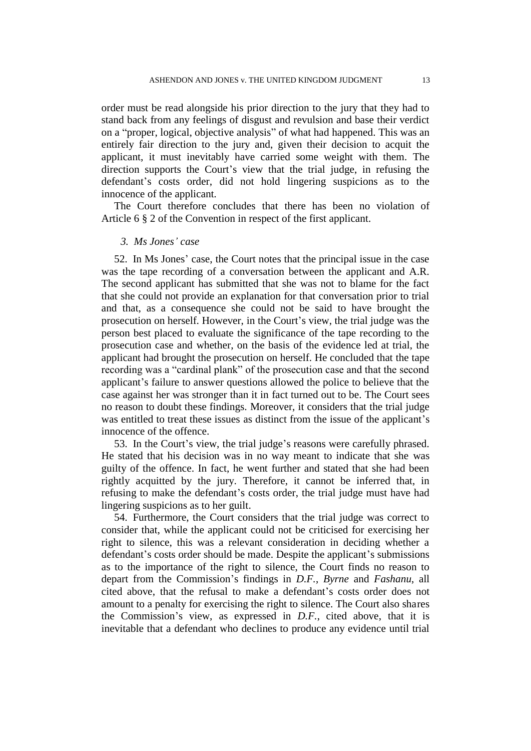order must be read alongside his prior direction to the jury that they had to stand back from any feelings of disgust and revulsion and base their verdict on a "proper, logical, objective analysis" of what had happened. This was an entirely fair direction to the jury and, given their decision to acquit the applicant, it must inevitably have carried some weight with them. The direction supports the Court's view that the trial judge, in refusing the defendant's costs order, did not hold lingering suspicions as to the innocence of the applicant.

The Court therefore concludes that there has been no violation of Article 6 § 2 of the Convention in respect of the first applicant.

#### *3. Ms Jones' case*

52. In Ms Jones' case, the Court notes that the principal issue in the case was the tape recording of a conversation between the applicant and A.R. The second applicant has submitted that she was not to blame for the fact that she could not provide an explanation for that conversation prior to trial and that, as a consequence she could not be said to have brought the prosecution on herself. However, in the Court's view, the trial judge was the person best placed to evaluate the significance of the tape recording to the prosecution case and whether, on the basis of the evidence led at trial, the applicant had brought the prosecution on herself. He concluded that the tape recording was a "cardinal plank" of the prosecution case and that the second applicant's failure to answer questions allowed the police to believe that the case against her was stronger than it in fact turned out to be. The Court sees no reason to doubt these findings. Moreover, it considers that the trial judge was entitled to treat these issues as distinct from the issue of the applicant's innocence of the offence.

53. In the Court's view, the trial judge's reasons were carefully phrased. He stated that his decision was in no way meant to indicate that she was guilty of the offence. In fact, he went further and stated that she had been rightly acquitted by the jury. Therefore, it cannot be inferred that, in refusing to make the defendant's costs order, the trial judge must have had lingering suspicions as to her guilt.

54. Furthermore, the Court considers that the trial judge was correct to consider that, while the applicant could not be criticised for exercising her right to silence, this was a relevant consideration in deciding whether a defendant's costs order should be made. Despite the applicant's submissions as to the importance of the right to silence, the Court finds no reason to depart from the Commission's findings in *D.F.*, *Byrne* and *Fashanu*, all cited above, that the refusal to make a defendant's costs order does not amount to a penalty for exercising the right to silence. The Court also shares the Commission's view, as expressed in *D.F.*, cited above, that it is inevitable that a defendant who declines to produce any evidence until trial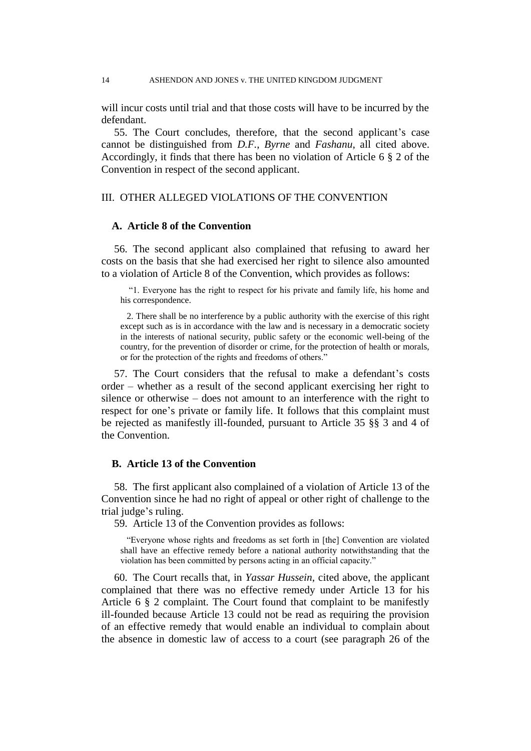will incur costs until trial and that those costs will have to be incurred by the defendant.

55. The Court concludes, therefore, that the second applicant's case cannot be distinguished from *D.F.*, *Byrne* and *Fashanu*, all cited above. Accordingly, it finds that there has been no violation of Article 6 § 2 of the Convention in respect of the second applicant.

## III. OTHER ALLEGED VIOLATIONS OF THE CONVENTION

## **A. Article 8 of the Convention**

56. The second applicant also complained that refusing to award her costs on the basis that she had exercised her right to silence also amounted to a violation of Article 8 of the Convention, which provides as follows:

"1. Everyone has the right to respect for his private and family life, his home and his correspondence.

2. There shall be no interference by a public authority with the exercise of this right except such as is in accordance with the law and is necessary in a democratic society in the interests of national security, public safety or the economic well-being of the country, for the prevention of disorder or crime, for the protection of health or morals, or for the protection of the rights and freedoms of others."

57. The Court considers that the refusal to make a defendant's costs order – whether as a result of the second applicant exercising her right to silence or otherwise – does not amount to an interference with the right to respect for one's private or family life. It follows that this complaint must be rejected as manifestly ill-founded, pursuant to Article 35 §§ 3 and 4 of the Convention.

# **B. Article 13 of the Convention**

58. The first applicant also complained of a violation of Article 13 of the Convention since he had no right of appeal or other right of challenge to the trial judge's ruling.

59. Article 13 of the Convention provides as follows:

"Everyone whose rights and freedoms as set forth in [the] Convention are violated shall have an effective remedy before a national authority notwithstanding that the violation has been committed by persons acting in an official capacity."

60. The Court recalls that, in *Yassar Hussein*, cited above, the applicant complained that there was no effective remedy under Article 13 for his Article 6 § 2 complaint. The Court found that complaint to be manifestly ill-founded because Article 13 could not be read as requiring the provision of an effective remedy that would enable an individual to complain about the absence in domestic law of access to a court (see paragraph 26 of the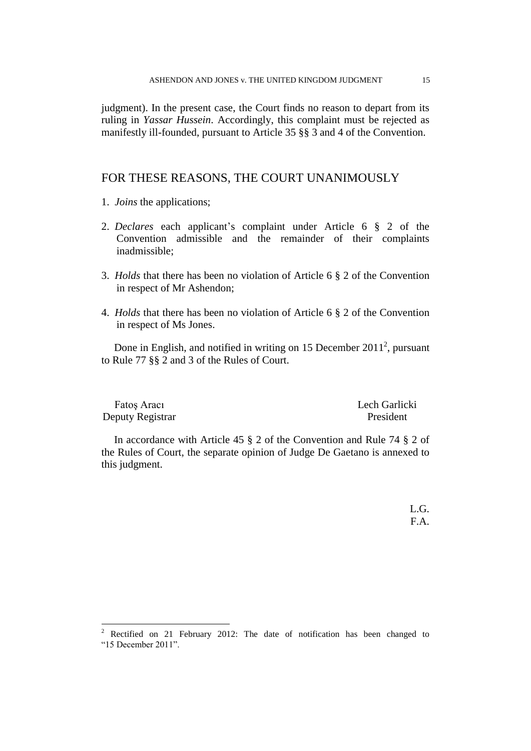judgment). In the present case, the Court finds no reason to depart from its ruling in *Yassar Hussein*. Accordingly, this complaint must be rejected as manifestly ill-founded, pursuant to Article 35 §§ 3 and 4 of the Convention.

# FOR THESE REASONS, THE COURT UNANIMOUSLY

1. *Joins* the applications;

 $\overline{a}$ 

- 2. *Declares* each applicant's complaint under Article 6 § 2 of the Convention admissible and the remainder of their complaints inadmissible;
- 3. *Holds* that there has been no violation of Article 6 § 2 of the Convention in respect of Mr Ashendon;
- 4. *Holds* that there has been no violation of Article 6 § 2 of the Convention in respect of Ms Jones.

Done in English, and notified in writing on 15 December  $2011^2$ , pursuant to Rule 77 §§ 2 and 3 of the Rules of Court.

| Fatos Aracı      | Lech Garlicki |
|------------------|---------------|
| Deputy Registrar | President     |

In accordance with Article 45 § 2 of the Convention and Rule 74 § 2 of the Rules of Court, the separate opinion of Judge De Gaetano is annexed to this judgment.

> $L.G.$ F.A.

<sup>2</sup> Rectified on 21 February 2012: The date of notification has been changed to "15 December 2011".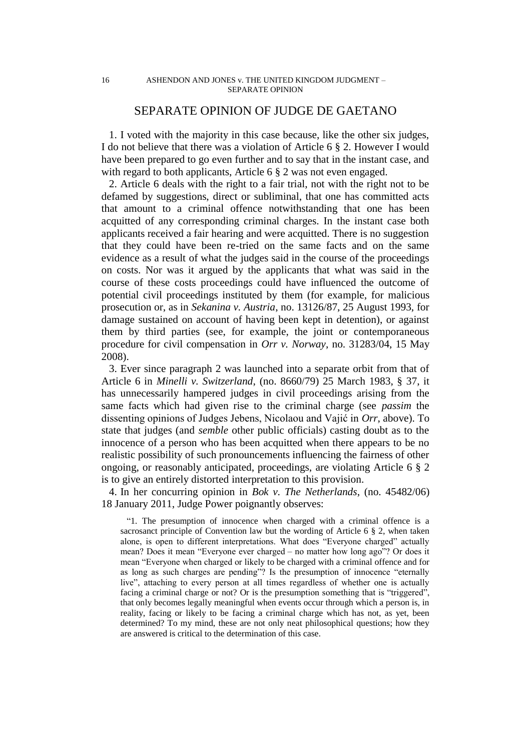# SEPARATE OPINION OF JUDGE DE GAETANO

1. I voted with the majority in this case because, like the other six judges, I do not believe that there was a violation of Article 6 § 2. However I would have been prepared to go even further and to say that in the instant case, and with regard to both applicants, Article 6  $\S$  2 was not even engaged.

2. Article 6 deals with the right to a fair trial, not with the right not to be defamed by suggestions, direct or subliminal, that one has committed acts that amount to a criminal offence notwithstanding that one has been acquitted of any corresponding criminal charges. In the instant case both applicants received a fair hearing and were acquitted. There is no suggestion that they could have been re-tried on the same facts and on the same evidence as a result of what the judges said in the course of the proceedings on costs. Nor was it argued by the applicants that what was said in the course of these costs proceedings could have influenced the outcome of potential civil proceedings instituted by them (for example, for malicious prosecution or, as in *Sekanina v. Austria*, no. 13126/87, 25 August 1993, for damage sustained on account of having been kept in detention), or against them by third parties (see, for example, the joint or contemporaneous procedure for civil compensation in *Orr v. Norway*, no. 31283/04, 15 May 2008).

3. Ever since paragraph 2 was launched into a separate orbit from that of Article 6 in *Minelli v. Switzerland*, (no. 8660/79) 25 March 1983, § 37, it has unnecessarily hampered judges in civil proceedings arising from the same facts which had given rise to the criminal charge (see *passim* the dissenting opinions of Judges Jebens, Nicolaou and Vajić in *Orr*, above). To state that judges (and *semble* other public officials) casting doubt as to the innocence of a person who has been acquitted when there appears to be no realistic possibility of such pronouncements influencing the fairness of other ongoing, or reasonably anticipated, proceedings, are violating Article 6 § 2 is to give an entirely distorted interpretation to this provision.

4. In her concurring opinion in *Bok v. The Netherlands*, (no. 45482/06) 18 January 2011, Judge Power poignantly observes:

"1. The presumption of innocence when charged with a criminal offence is a sacrosanct principle of Convention law but the wording of Article 6 § 2, when taken alone, is open to different interpretations. What does "Everyone charged" actually mean? Does it mean "Everyone ever charged – no matter how long ago"? Or does it mean "Everyone when charged or likely to be charged with a criminal offence and for as long as such charges are pending"? Is the presumption of innocence "eternally live", attaching to every person at all times regardless of whether one is actually facing a criminal charge or not? Or is the presumption something that is "triggered", that only becomes legally meaningful when events occur through which a person is, in reality, facing or likely to be facing a criminal charge which has not, as yet, been determined? To my mind, these are not only neat philosophical questions; how they are answered is critical to the determination of this case.